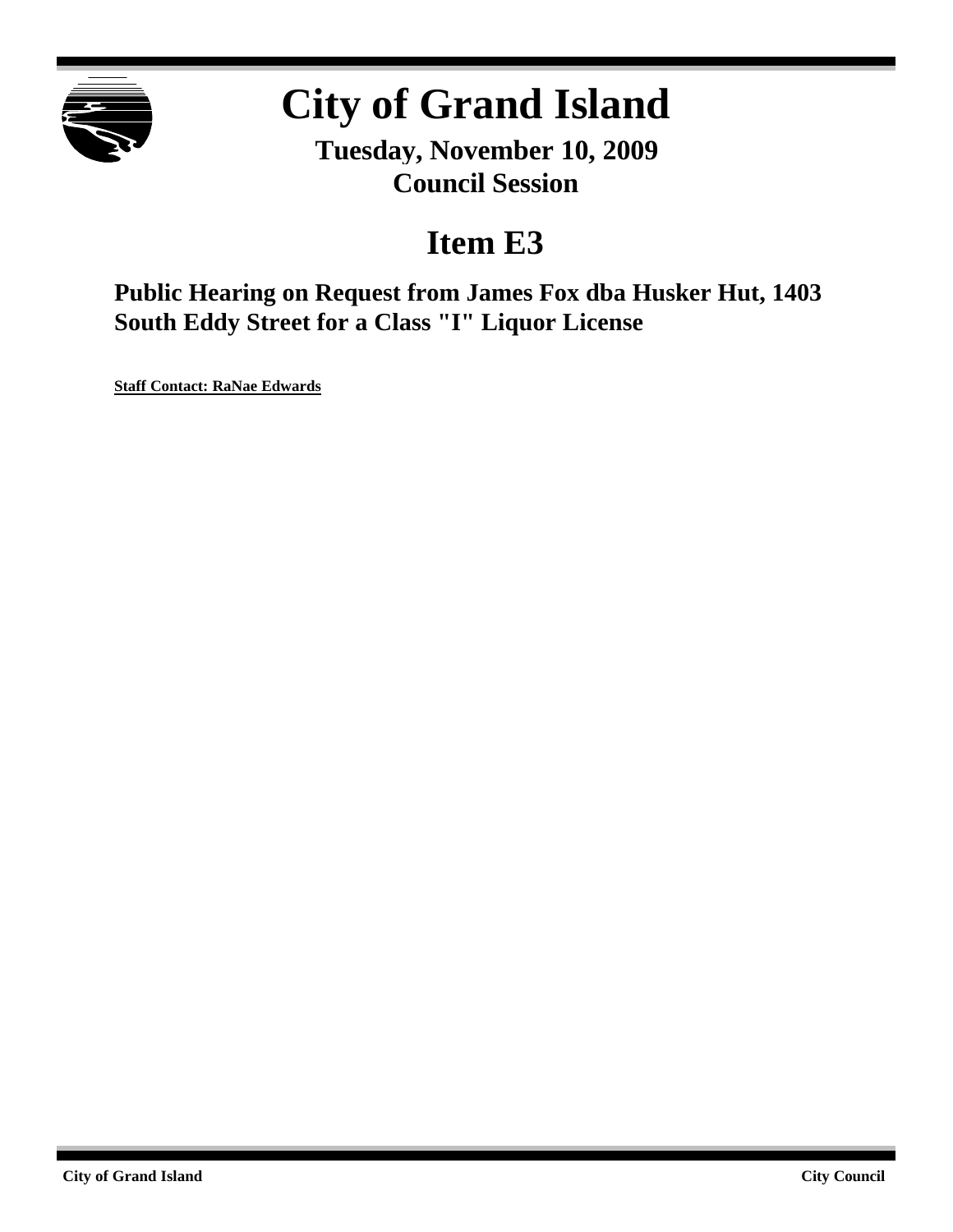

# **City of Grand Island**

**Tuesday, November 10, 2009 Council Session**

## **Item E3**

**Public Hearing on Request from James Fox dba Husker Hut, 1403 South Eddy Street for a Class "I" Liquor License**

**Staff Contact: RaNae Edwards**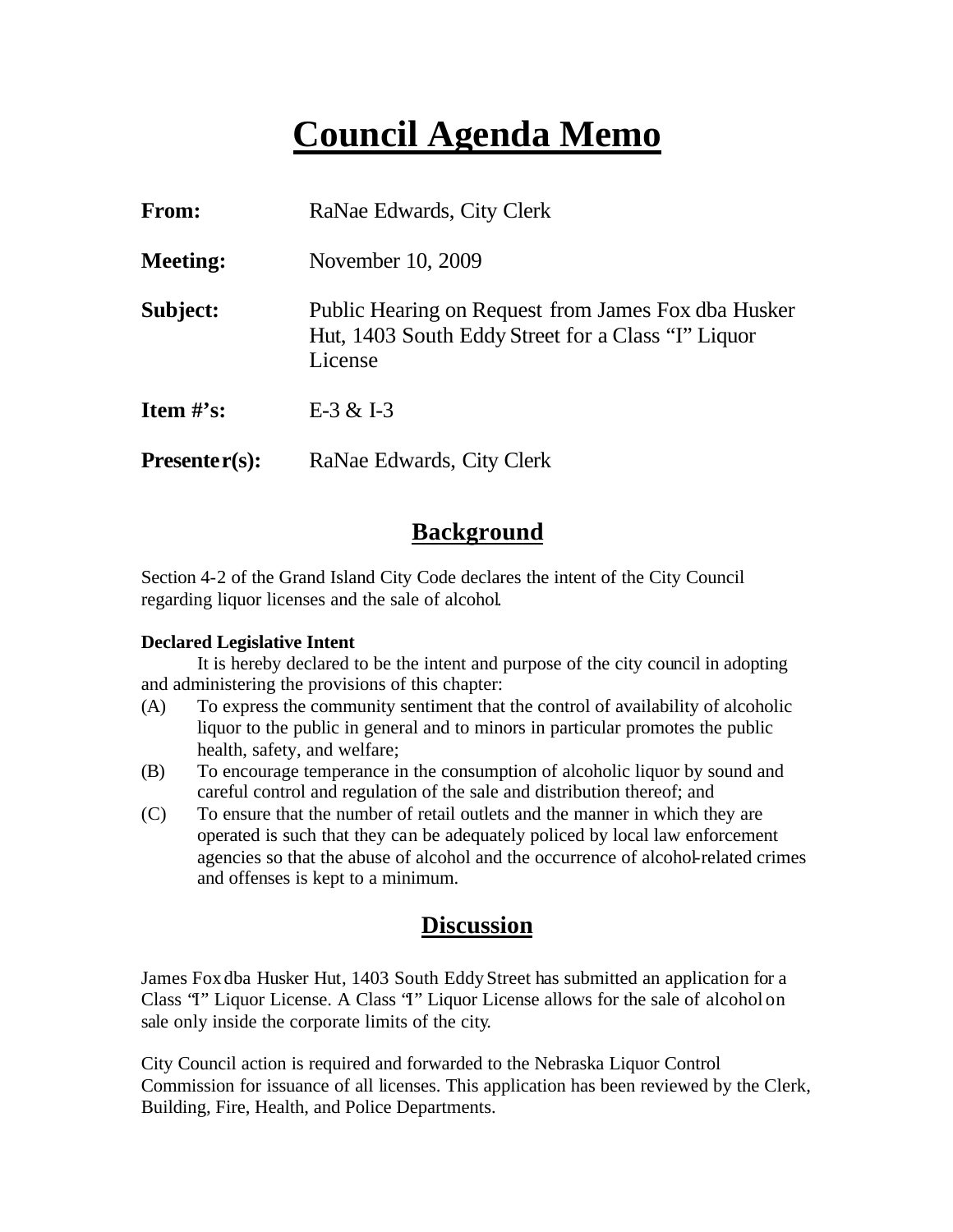## **Council Agenda Memo**

| From:           | RaNae Edwards, City Clerk                                                                                            |
|-----------------|----------------------------------------------------------------------------------------------------------------------|
| <b>Meeting:</b> | November 10, 2009                                                                                                    |
| Subject:        | Public Hearing on Request from James Fox dba Husker<br>Hut, 1403 South Eddy Street for a Class "I" Liquor<br>License |
| Item $\#$ 's:   | E-3 & I-3                                                                                                            |
| $Presenter(s):$ | RaNae Edwards, City Clerk                                                                                            |

### **Background**

Section 4-2 of the Grand Island City Code declares the intent of the City Council regarding liquor licenses and the sale of alcohol.

#### **Declared Legislative Intent**

It is hereby declared to be the intent and purpose of the city council in adopting and administering the provisions of this chapter:

- (A) To express the community sentiment that the control of availability of alcoholic liquor to the public in general and to minors in particular promotes the public health, safety, and welfare;
- (B) To encourage temperance in the consumption of alcoholic liquor by sound and careful control and regulation of the sale and distribution thereof; and
- (C) To ensure that the number of retail outlets and the manner in which they are operated is such that they can be adequately policed by local law enforcement agencies so that the abuse of alcohol and the occurrence of alcohol-related crimes and offenses is kept to a minimum.

### **Discussion**

James Fox dba Husker Hut, 1403 South Eddy Street has submitted an application for a Class "I" Liquor License. A Class "I" Liquor License allows for the sale of alcohol on sale only inside the corporate limits of the city.

City Council action is required and forwarded to the Nebraska Liquor Control Commission for issuance of all licenses. This application has been reviewed by the Clerk, Building, Fire, Health, and Police Departments.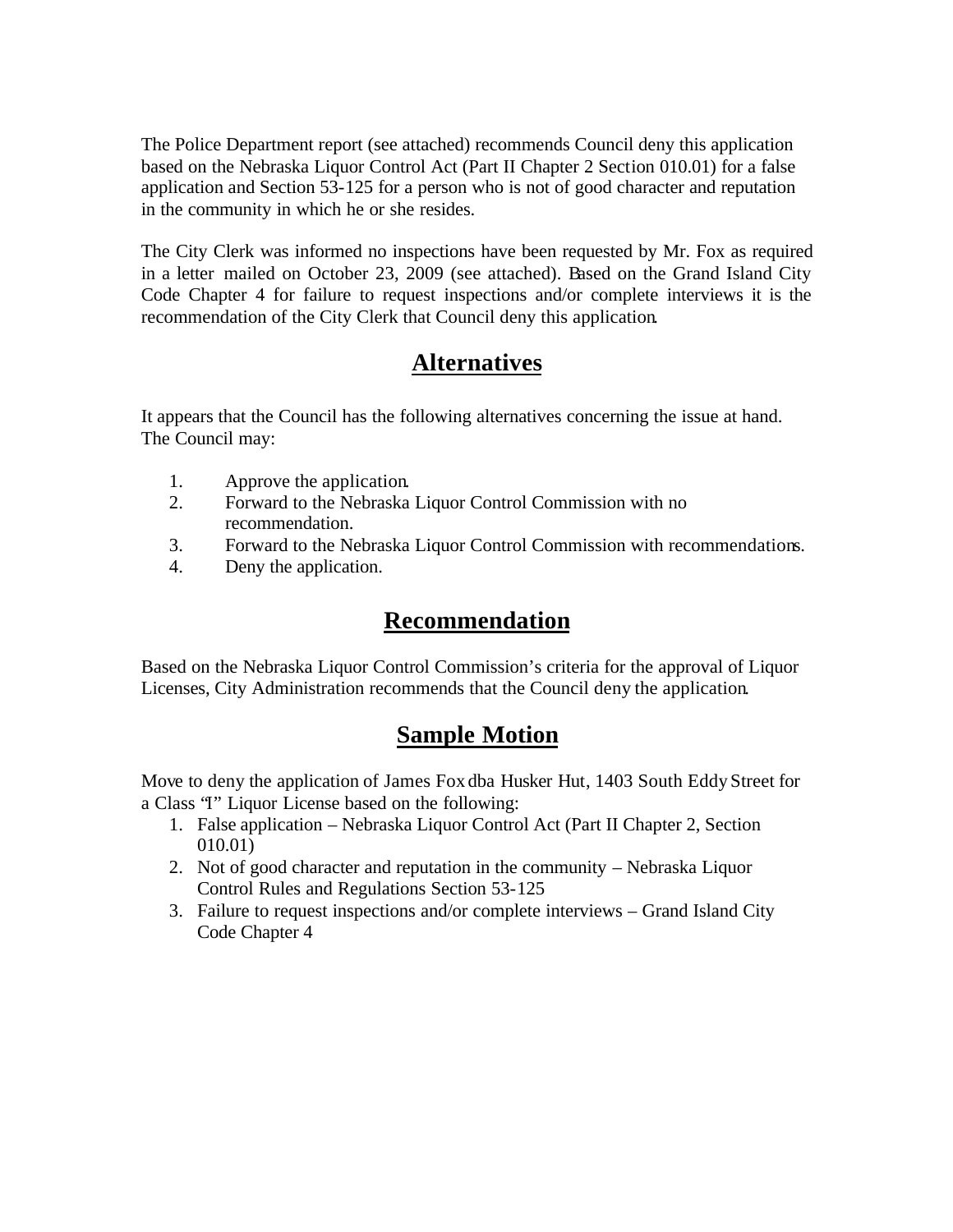The Police Department report (see attached) recommends Council deny this application based on the Nebraska Liquor Control Act (Part II Chapter 2 Section 010.01) for a false application and Section 53-125 for a person who is not of good character and reputation in the community in which he or she resides.

The City Clerk was informed no inspections have been requested by Mr. Fox as required in a letter mailed on October 23, 2009 (see attached). Based on the Grand Island City Code Chapter 4 for failure to request inspections and/or complete interviews it is the recommendation of the City Clerk that Council deny this application.

## **Alternatives**

It appears that the Council has the following alternatives concerning the issue at hand. The Council may:

- 1. Approve the application.
- 2. Forward to the Nebraska Liquor Control Commission with no recommendation.
- 3. Forward to the Nebraska Liquor Control Commission with recommendations.
- 4. Deny the application.

### **Recommendation**

Based on the Nebraska Liquor Control Commission's criteria for the approval of Liquor Licenses, City Administration recommends that the Council deny the application.

## **Sample Motion**

Move to deny the application of James Fox dba Husker Hut, 1403 South Eddy Street for a Class "I" Liquor License based on the following:

- 1. False application Nebraska Liquor Control Act (Part II Chapter 2, Section 010.01)
- 2. Not of good character and reputation in the community Nebraska Liquor Control Rules and Regulations Section 53-125
- 3. Failure to request inspections and/or complete interviews Grand Island City Code Chapter 4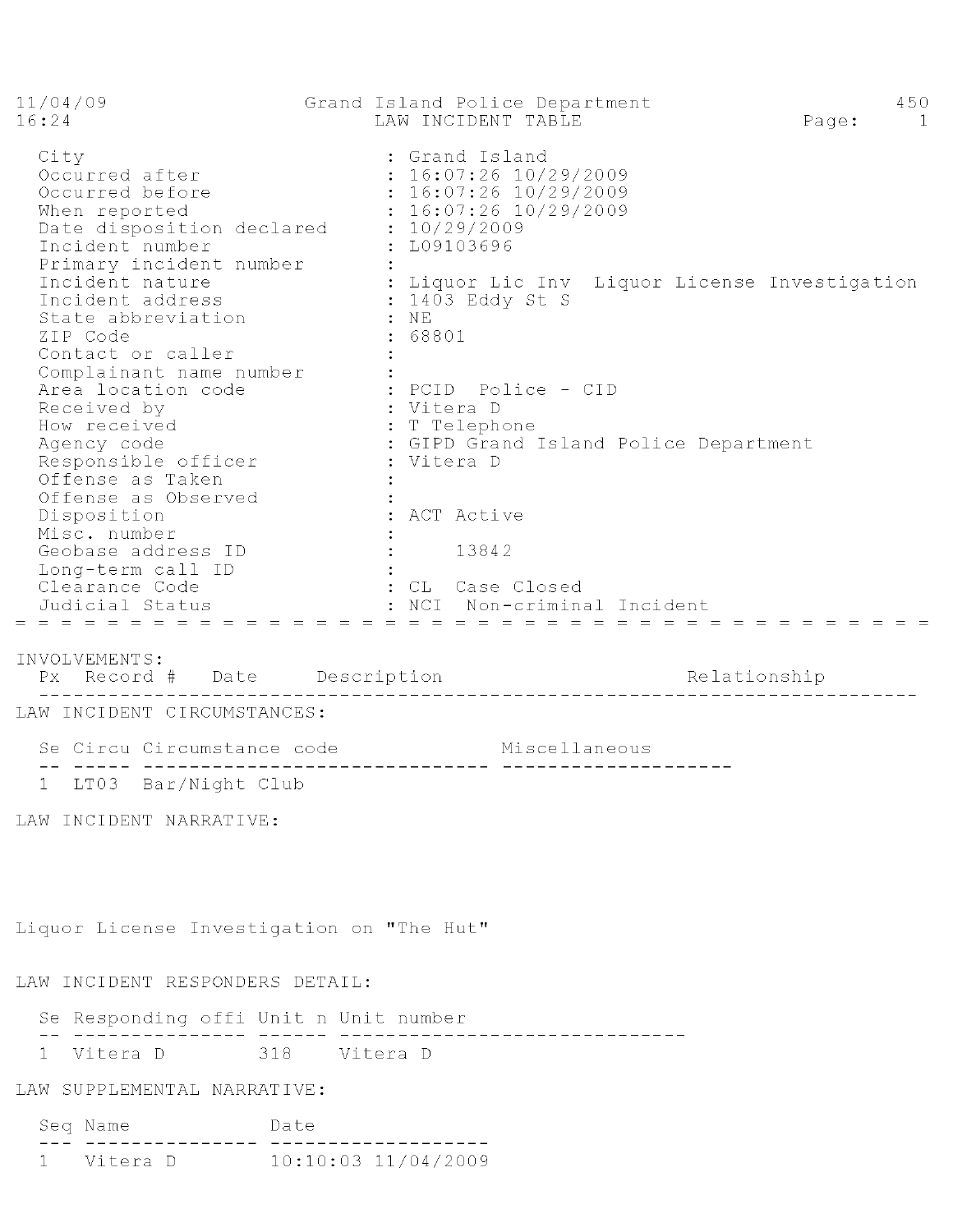Grand Island Police Department  $11/04/09$ 450 Page: 1  $16:24$ LAW INCIDENT TABLE City<br>
Cocurred after : 16:07:26 10/29/2009<br>
Occurred before : 16:07:26 10/29/2009<br>
When reported : 16:07:26 10/29/2009<br>
Date disposition declared : 10/29/2009<br>
Date disposition declared : 10/29/2009<br>
Incident number : L091 Complainant name number <br>
Area location code : PCID Police - CID<br>
Received by : Vitera D<br>
How received : T Telephone<br>
Agency code : GIPD Grand Island Police Department<br>
Responsible officer : Vitera D<br>
Offense as Taken :<br>
. Offense as Taken ACT Active<br>
Misc. number<br>
Geobase address ID:<br>
Long-term call ID:<br>
Clearance Code<br>
Tudis INVOLVEMENTS: Px Record # Date Description Relationship LAW INCIDENT CIRCUMSTANCES: Se Circu Circumstance code Miscellaneous 1 LT03 Bar/Night Club LAW INCIDENT NARRATIVE: Liquor License Investigation on "The Hut" LAW INCIDENT RESPONDERS DETAIL: Se Responding offi Unit n Unit number 1 Vitera D 318 Vitera D LAW SUPPLEMENTAL NARRATIVE: Seq Name Date 1 Vitera D 10:10:03 11/04/2009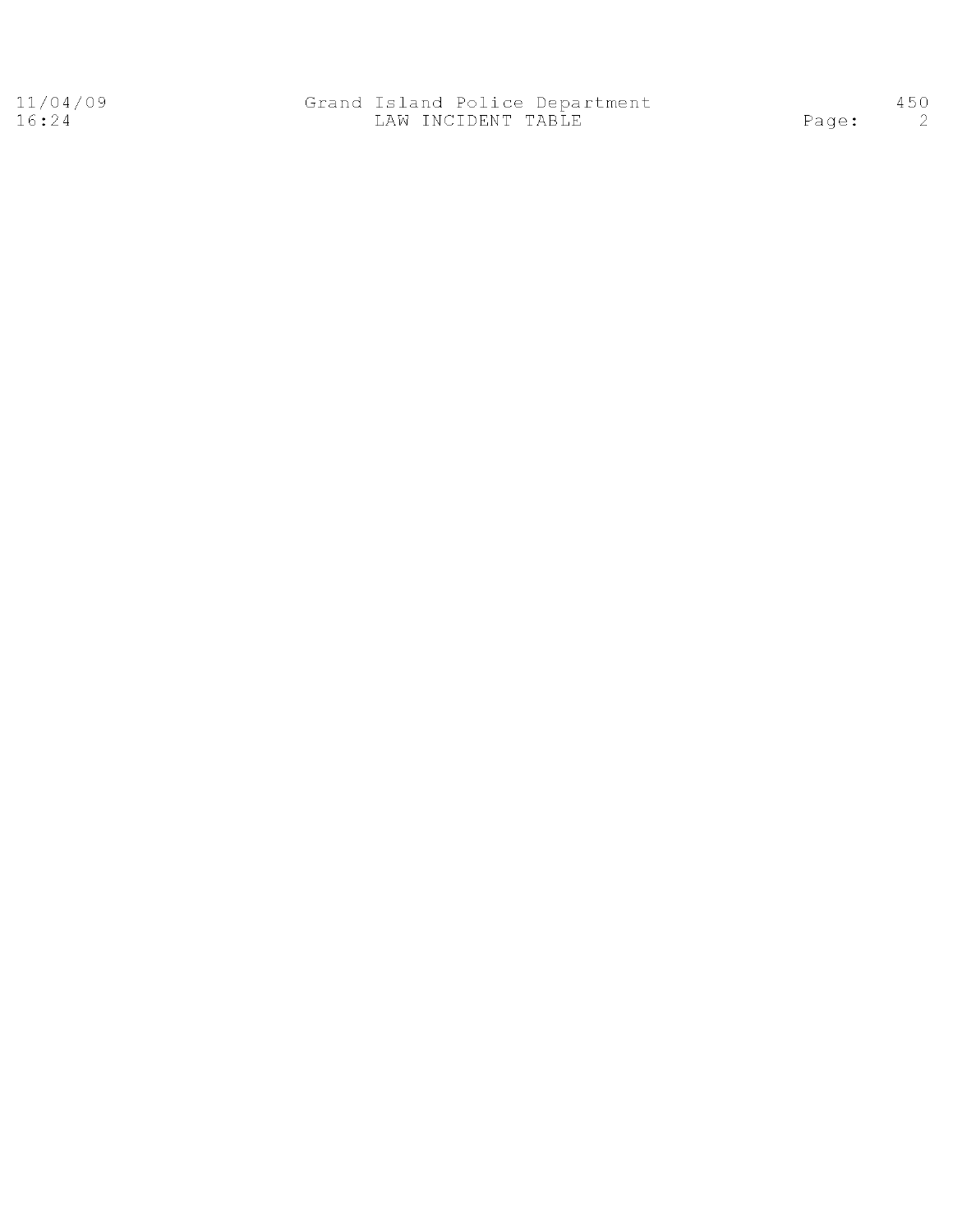$11/04/09$ <br>16:24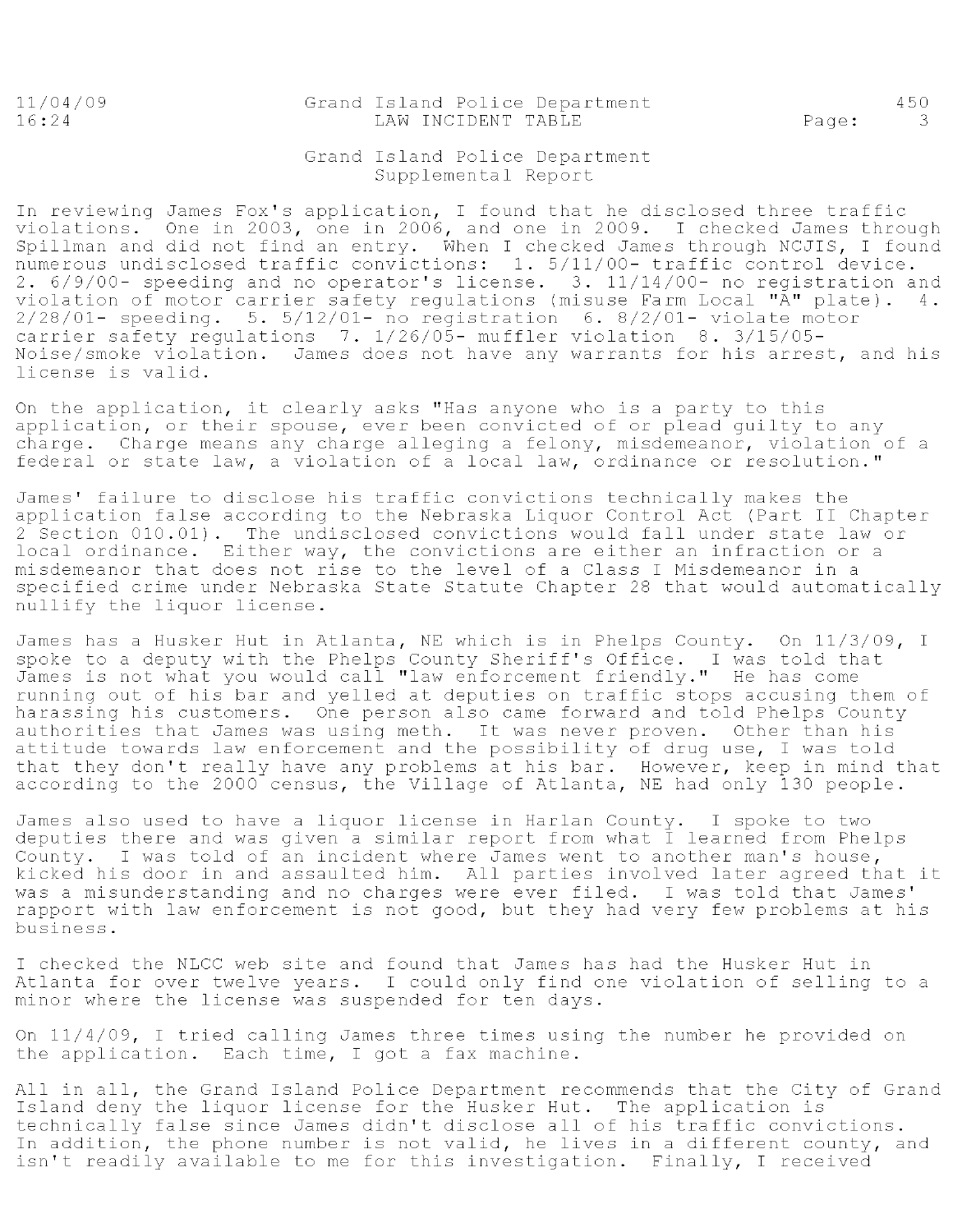$11/04/09$  $16:24$ 

#### Grand Island Police Department LAW INCIDENT TABLE

Page:

450

 $-3$ 

#### Grand Island Police Department Supplemental Report

In reviewing James Fox's application, I found that he disclosed three traffic violations. One in 2003, one in 2006, and one in 2009. I checked James through Spillman and did not find an entry. When I checked James through NCJIS, I found<br>numerous undisclosed traffic convictions: 1. 5/11/00- traffic control device. 2. 6/9/00- speeding and no operator's license. 3. 11/14/00- no registration and violation of motor carrier safety regulations (misuse Farm Local "A" plate).  $4.$  $2/28/01$ - speeding. 5.  $5/12/01$ - no registration 6.  $8/2/01$ - violate motor carrier safety regulations 7. 1/26/05- muffler violation 8. 3/15/05-Noise/smoke violation. James does not have any warrants for his arrest, and his license is valid.

On the application, it clearly asks "Has anyone who is a party to this application, or their spouse, ever been convicted of or plead quilty to any charge. Charge means any charge alleging a felony, misdemeanor, violation of a federal or state law, a violation of a local law, ordinance or resolution."

James' failure to disclose his traffic convictions technically makes the application false according to the Nebraska Liquor Control Act (Part II Chapter 2 Section 010.01). The undisclosed convictions would fall under state law or local ordinance. Either way, the convictions are either an infraction or a misdemeanor that does not rise to the level of a Class I Misdemeanor in a specified crime under Nebraska State Statute Chapter 28 that would automatically nullify the liquor license.

James has a Husker Hut in Atlanta, NE which is in Phelps County. On 11/3/09, I spoke to a deputy with the Phelps County Sheriff's Office. I was told that James is not what you would call "law enforcement friendly." He has come running out of his bar and yelled at deputies on traffic stops accusing them of harassing his customers. One person also came forward and told Phelps County authorities that James was using meth. It was never proven. Other than his<br>attitude towards law enforcement and the possibility of drug use, I was told that they don't really have any problems at his bar. However, keep in mind that according to the 2000 census, the Village of Atlanta, NE had only 130 people.

James also used to have a liquor license in Harlan County. I spoke to two<br>deputies there and was given a similar report from what I learned from Phelps County. I was told of an incident where James went to another man's house, kicked his door in and assaulted him. All parties involved later agreed that it was a misunderstanding and no charges were ever filed. I was told that James' rapport with law enforcement is not good, but they had very few problems at his business.

I checked the NLCC web site and found that James has had the Husker Hut in Atlanta for over twelve years. I could only find one violation of selling to a minor where the license was suspended for ten days.

On 11/4/09, I tried calling James three times using the number he provided on the application. Each time, I got a fax machine.

All in all, the Grand Island Police Department recommends that the City of Grand Island deny the liquor license for the Husker Hut. The application is technically false since James didn't disclose all of his traffic convictions. In addition, the phone number is not valid, he lives in a different county, and isn't readily available to me for this investigation. Finally, I received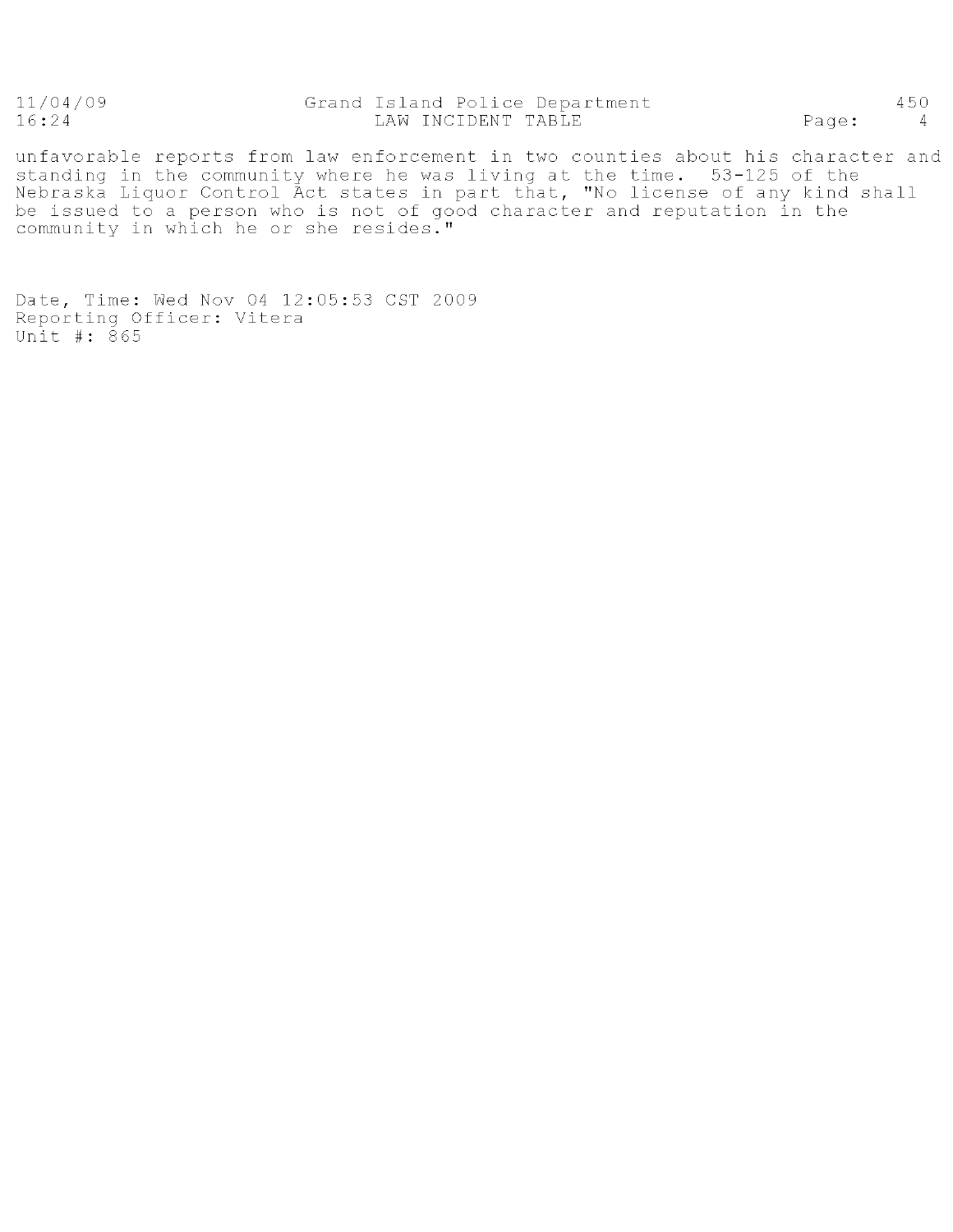$11/04/09$  $16:24$ 

Page:  $4<sup>1</sup>$ 

450

unfavorable reports from law enforcement in two counties about his character and standing in the community where he was living at the time. 53-125 of the<br>Nebraska Liquor Control Act states in part that, "No license of any kind shall be issued to a person who is not of good character and reputation in the community in which he or she resides."

Date, Time: Wed Nov 04 12:05:53 CST 2009 Reporting Officer: Vitera Unit #:  $865$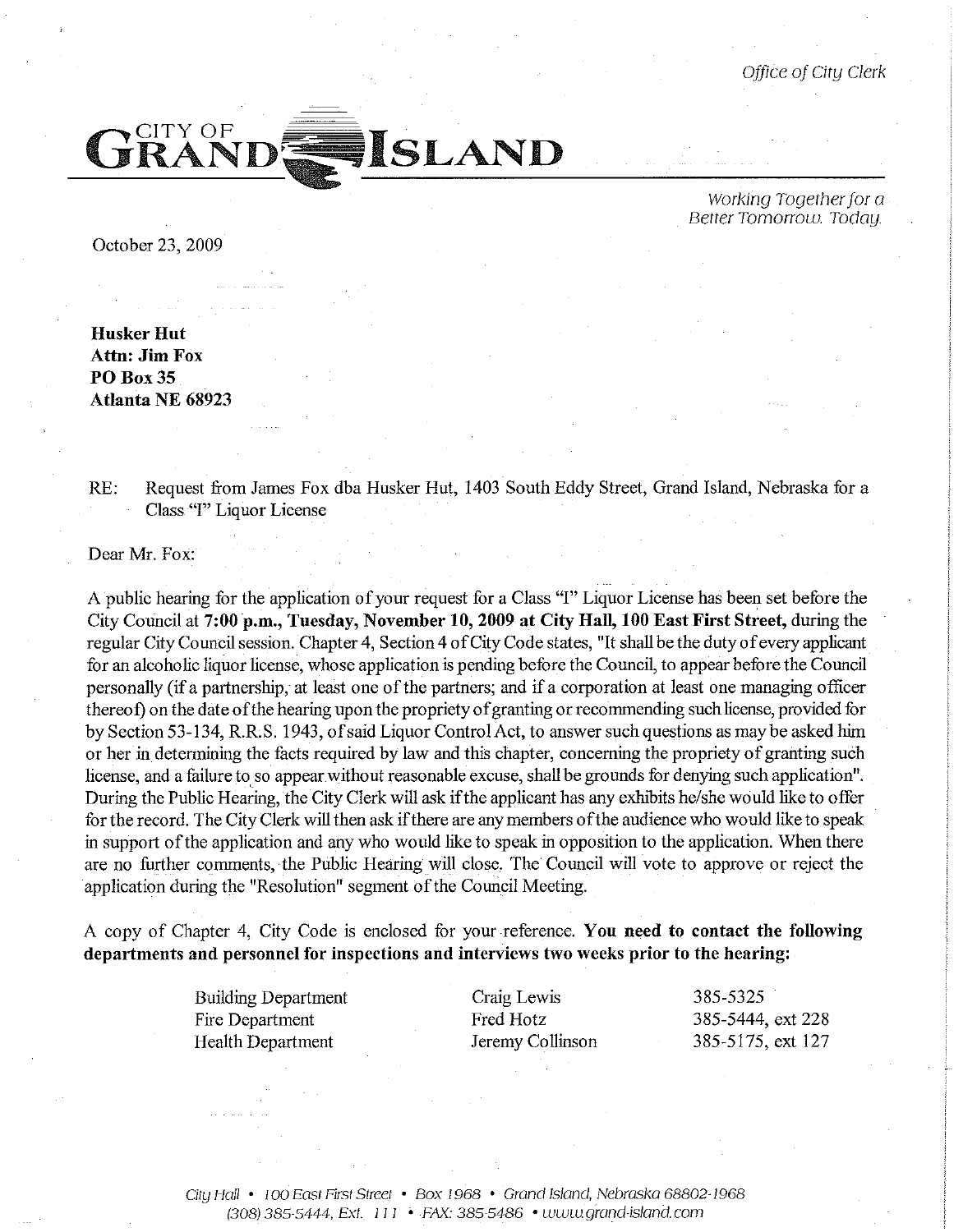

Working Together for a Better Tomorrow. Today.

October 23, 2009

**Husker Hut Attn: Jim Fox PO Box 35 Atlanta NE 68923** 

Request from James Fox dba Husker Hut, 1403 South Eddy Street, Grand Island, Nebraska for a RE: Class "I" Liquor License

Dear Mr. Fox:

A public hearing for the application of your request for a Class "I" Liquor License has been set before the City Council at 7:00 p.m., Tuesday, November 10, 2009 at City Hall, 100 East First Street, during the regular City Council session. Chapter 4, Section 4 of City Code states, "It shall be the duty of every applicant for an alcoholic liquor license, whose application is pending before the Council, to appear before the Council personally (if a partnership, at least one of the partners; and if a corporation at least one managing officer thereof) on the date of the hearing upon the propriety of granting or recommending such license, provided for by Section 53-134, R.R.S. 1943, of said Liquor Control Act, to answer such questions as may be asked him or her in determining the facts required by law and this chapter, concerning the propriety of granting such license, and a failure to so appear without reasonable excuse, shall be grounds for denying such application". During the Public Hearing, the City Clerk will ask if the applicant has any exhibits he/she would like to offer for the record. The City Clerk will then ask if there are any members of the audience who would like to speak in support of the application and any who would like to speak in opposition to the application. When there are no further comments, the Public Hearing will close. The Council will vote to approve or reject the application during the "Resolution" segment of the Council Meeting.

A copy of Chapter 4, City Code is enclosed for your reference. You need to contact the following departments and personnel for inspections and interviews two weeks prior to the hearing:

> **Building Department** Fire Department Health Department

Craig Lewis Fred Hotz Jeremy Collinson

385-5325 385-5444, ext 228 385-5175, ext 127